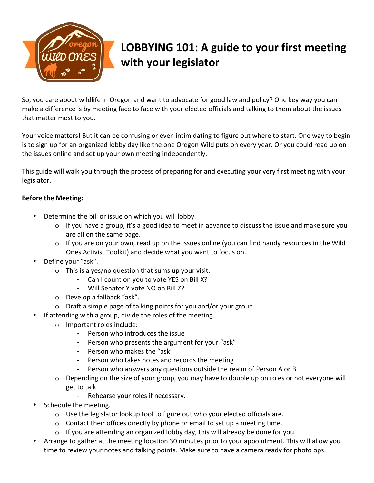

## LOBBYING 101: A guide to your first meeting **with your legislator**

So, you care about wildlife in Oregon and want to advocate for good law and policy? One key way you can make a difference is by meeting face to face with your elected officials and talking to them about the issues that matter most to you.

Your voice matters! But it can be confusing or even intimidating to figure out where to start. One way to begin is to sign up for an organized lobby day like the one Oregon Wild puts on every year. Or you could read up on the issues online and set up your own meeting independently.

This guide will walk you through the process of preparing for and executing your very first meeting with your legislator. 

## **Before the Meeting:**

- Determine the bill or issue on which you will lobby.
	- $\circ$  If you have a group, it's a good idea to meet in advance to discuss the issue and make sure you are all on the same page.
	- $\circ$  If you are on your own, read up on the issues online (you can find handy resources in the Wild Ones Activist Toolkit) and decide what you want to focus on.
- Define your "ask".
	- $\circ$  This is a yes/no question that sums up your visit.
		- Can I count on you to vote YES on Bill X?
			- Will Senator Y vote NO on Bill Z?
	- $\circ$  Develop a fallback "ask".
	- $\circ$  Draft a simple page of talking points for you and/or your group.
- If attending with a group, divide the roles of the meeting.
	- o Important roles include:
		- Person who introduces the issue
		- Person who presents the argument for your "ask"
		- Person who makes the "ask"
		- Person who takes notes and records the meeting
		- Person who answers any questions outside the realm of Person A or B
	- $\circ$  Depending on the size of your group, you may have to double up on roles or not everyone will get to talk.
		- Rehearse your roles if necessary.
- Schedule the meeting.
	- $\circ$  Use the legislator lookup tool to figure out who your elected officials are.
	- $\circ$  Contact their offices directly by phone or email to set up a meeting time.
	- $\circ$  If you are attending an organized lobby day, this will already be done for you.
- Arrange to gather at the meeting location 30 minutes prior to your appointment. This will allow you time to review your notes and talking points. Make sure to have a camera ready for photo ops.